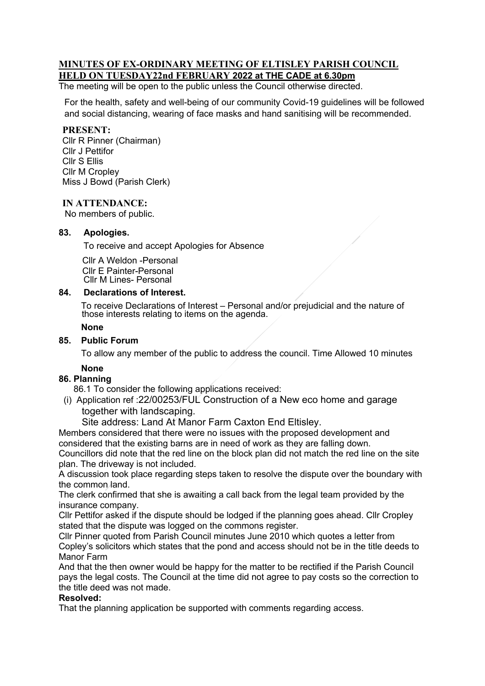# **MINUTES OF EX-ORDINARY MEETING OF ELTISLEY PARISH COUNCIL HELD ON TUESDAY22nd FEBRUARY 2022 at THE CADE at 6.30pm**

The meeting will be open to the public unless the Council otherwise directed.

For the health, safety and well-being of our community Covid-19 guidelines will be followed and social distancing, wearing of face masks and hand sanitising will be recommended.

#### **PRESENT:**

Cllr R Pinner (Chairman) Cllr J Pettifor Cllr S Ellis Cllr M Cropley Miss J Bowd (Parish Clerk)

### **IN ATTENDANCE:**

No members of public.

#### 83. **83. Apologies.**

To receive and accept Apologies for Absence

 Cllr A Weldon -Personal Cllr E Painter-Personal Cllr M Lines- Personal

### **84. Declarations of Interest.**

 To receive Declarations of Interest – Personal and/or prejudicial and the nature of those interests relating to items on the agenda.

# **None**

#### **85. Public Forum**

To allow any member of the public to address the council. Time Allowed 10 minutes

## **None**

# **86. Planning**

86.1 To consider the following applications received:

 (i) Application ref :22/00253/FUL Construction of a New eco home and garage together with landscaping.

Site address: Land At Manor Farm Caxton End Eltisley.

Members considered that there were no issues with the proposed development and considered that the existing barns are in need of work as they are falling down.

Councillors did note that the red line on the block plan did not match the red line on the site plan. The driveway is not included.

A discussion took place regarding steps taken to resolve the dispute over the boundary with the common land.

The clerk confirmed that she is awaiting a call back from the legal team provided by the insurance company.

Cllr Pettifor asked if the dispute should be lodged if the planning goes ahead. Cllr Cropley stated that the dispute was logged on the commons register.

Cllr Pinner quoted from Parish Council minutes June 2010 which quotes a letter from Copley's solicitors which states that the pond and access should not be in the title deeds to Manor Farm

And that the then owner would be happy for the matter to be rectified if the Parish Council pays the legal costs. The Council at the time did not agree to pay costs so the correction to the title deed was not made.

#### **Resolved:**

That the planning application be supported with comments regarding access.